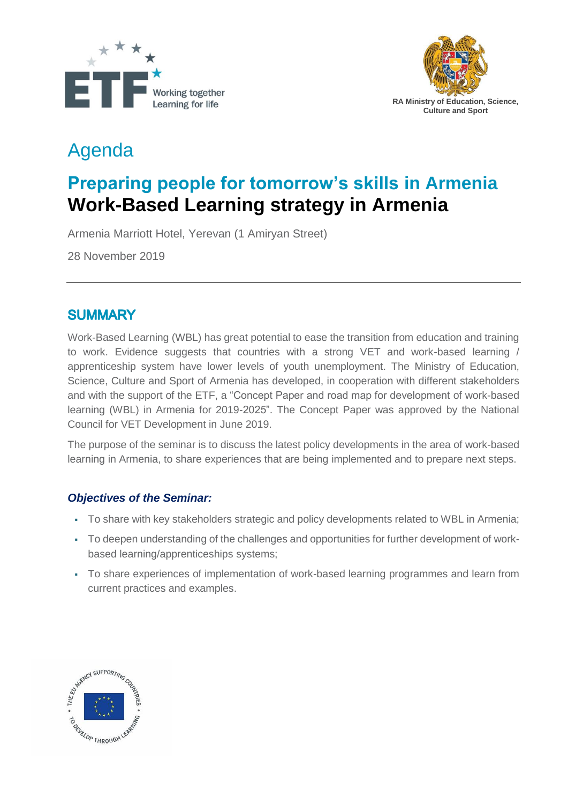



# Agenda

# **Preparing people for tomorrow's skills in Armenia Work-Based Learning strategy in Armenia**

Armenia Marriott Hotel, Yerevan (1 Amiryan Street)

28 November 2019

### **SUMMARY**

Work-Based Learning (WBL) has great potential to ease the transition from education and training to work. Evidence suggests that countries with a strong VET and work-based learning / apprenticeship system have lower levels of youth unemployment. The Ministry of Education, Science, Culture and Sport of Armenia has developed, in cooperation with different stakeholders and with the support of the ETF, a "Concept Paper and road map for development of work-based learning (WBL) in Armenia for 2019-2025". The Concept Paper was approved by the National Council for VET Development in June 2019.

The purpose of the seminar is to discuss the latest policy developments in the area of work-based learning in Armenia, to share experiences that are being implemented and to prepare next steps.

#### *Objectives of the Seminar:*

- To share with key stakeholders strategic and policy developments related to WBL in Armenia;
- To deepen understanding of the challenges and opportunities for further development of workbased learning/apprenticeships systems;
- To share experiences of implementation of work-based learning programmes and learn from current practices and examples.